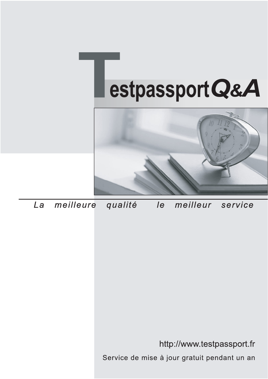



meilleure La qualité  $\overline{e}$ meilleur service

http://www.testpassport.fr

Service de mise à jour gratuit pendant un an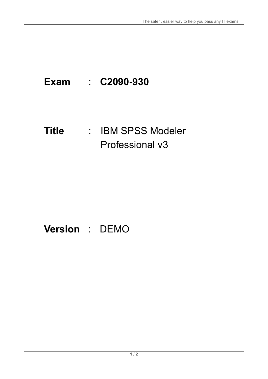# **Exam** : **C2090-930**

### **Title** : : IBM SPSS Modeler Professional v3

## **Version** : DEMO